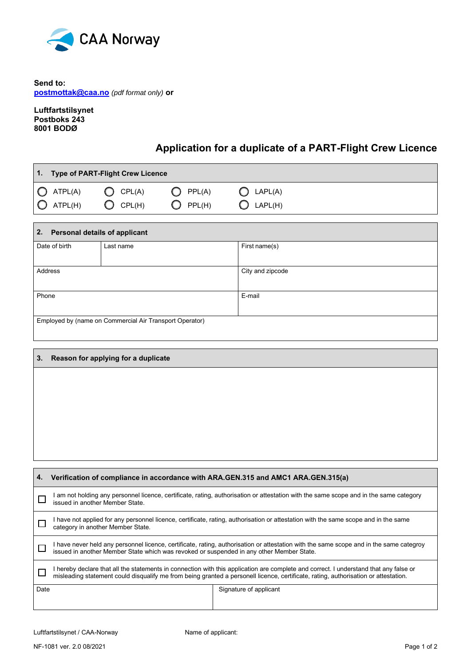

**Send to: postmottak@caa.no** *(pdf format only)* **or**

**Luftfartstilsynet Postboks 243 8001 BODØ**

Г

## **Application for a duplicate of a PART-Flight Crew Licence**

| 1. Type of PART-Flight Crew Licence |            |                   |                    |  |  |
|-------------------------------------|------------|-------------------|--------------------|--|--|
| $\bigcirc$ ATPL(A)                  | $O$ CPL(A) | $\bigcirc$ PPL(A) | $\bigcirc$ LAPL(A) |  |  |
| $\bigcirc$ ATPL(H)                  | $O$ CPL(H) | PPL(H)            | $\bigcirc$ LAPL(H) |  |  |

| 2.<br><b>Personal details of applicant</b>              |           |                  |  |  |  |
|---------------------------------------------------------|-----------|------------------|--|--|--|
| Date of birth                                           | Last name | First name(s)    |  |  |  |
|                                                         |           |                  |  |  |  |
| Address                                                 |           | City and zipcode |  |  |  |
|                                                         |           |                  |  |  |  |
| Phone                                                   |           | E-mail           |  |  |  |
|                                                         |           |                  |  |  |  |
| Employed by (name on Commercial Air Transport Operator) |           |                  |  |  |  |
|                                                         |           |                  |  |  |  |

| 3. | Reason for applying for a duplicate                                               |
|----|-----------------------------------------------------------------------------------|
|    |                                                                                   |
|    |                                                                                   |
|    |                                                                                   |
|    |                                                                                   |
|    |                                                                                   |
|    |                                                                                   |
| 4. | Verification of compliance in accordance with ARA.GEN.315 and AMC1 ARA.GEN.315(a) |

| –⊷   | <b>Vermoation of compliance in accordance with ARA.GER.313 and AMOT ARA.GER.313(a)</b>                                                                                                                                                                                       |                        |  |  |  |
|------|------------------------------------------------------------------------------------------------------------------------------------------------------------------------------------------------------------------------------------------------------------------------------|------------------------|--|--|--|
|      | am not holding any personnel licence, certificate, rating, authorisation or attestation with the same scope and in the same category<br>issued in another Member State.                                                                                                      |                        |  |  |  |
|      | I have not applied for any personnel licence, certificate, rating, authorisation or attestation with the same scope and in the same<br>category in another Member State.                                                                                                     |                        |  |  |  |
|      | I have never held any personnel licence, certificate, rating, authorisation or attestation with the same scope and in the same categroy<br>issued in another Member State which was revoked or suspended in any other Member State.                                          |                        |  |  |  |
|      | I hereby declare that all the statements in connection with this application are complete and correct. I understand that any false or<br>misleading statement could disqualify me from being granted a personell licence, certificate, rating, authorisation or attestation. |                        |  |  |  |
| Date |                                                                                                                                                                                                                                                                              | Signature of applicant |  |  |  |
|      |                                                                                                                                                                                                                                                                              |                        |  |  |  |